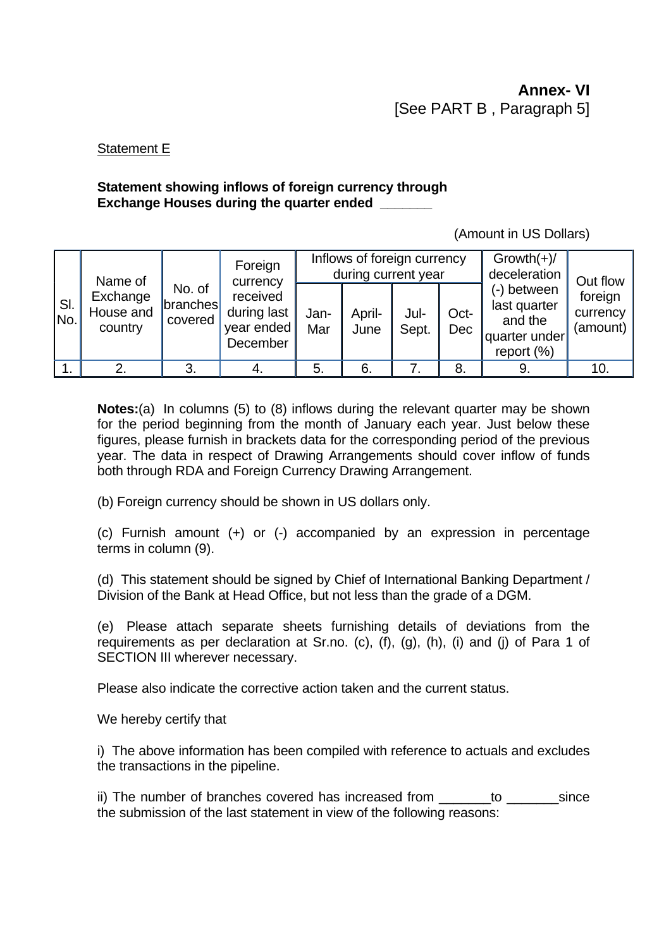## Statement E

## **Statement showing inflows of foreign currency through Exchange Houses during the quarter ended \_\_\_\_\_\_\_**

(Amount in US Dollars)

| SI.<br>No. | Name of                          | No. of<br>branches<br>covered | Foreign<br>currency                               | Inflows of foreign currency<br>during current year |                |               |             | $Growth(+)$ /<br>deceleration                                            | Out flow                        |
|------------|----------------------------------|-------------------------------|---------------------------------------------------|----------------------------------------------------|----------------|---------------|-------------|--------------------------------------------------------------------------|---------------------------------|
|            | Exchange<br>House and<br>country |                               | received<br>during last<br>year ended<br>December | Jan-<br>Mar                                        | April-<br>June | Jul-<br>Sept. | Oct-<br>Dec | (-) between<br>last quarter<br>and the<br>quarter under<br>report $(\%)$ | foreign<br>currency<br>(amount) |
|            |                                  |                               |                                                   | 5.                                                 | 6.             |               | 8.          |                                                                          | 10.                             |

**Notes:**(a) In columns (5) to (8) inflows during the relevant quarter may be shown for the period beginning from the month of January each year. Just below these figures, please furnish in brackets data for the corresponding period of the previous year. The data in respect of Drawing Arrangements should cover inflow of funds both through RDA and Foreign Currency Drawing Arrangement.

(b) Foreign currency should be shown in US dollars only.

(c) Furnish amount (+) or (-) accompanied by an expression in percentage terms in column (9).

(d) This statement should be signed by Chief of International Banking Department / Division of the Bank at Head Office, but not less than the grade of a DGM.

(e) Please attach separate sheets furnishing details of deviations from the requirements as per declaration at Sr.no. (c), (f), (g), (h), (i) and (j) of Para 1 of SECTION III wherever necessary.

Please also indicate the corrective action taken and the current status.

We hereby certify that

i) The above information has been compiled with reference to actuals and excludes the transactions in the pipeline.

ii) The number of branches covered has increased from to the since the submission of the last statement in view of the following reasons: